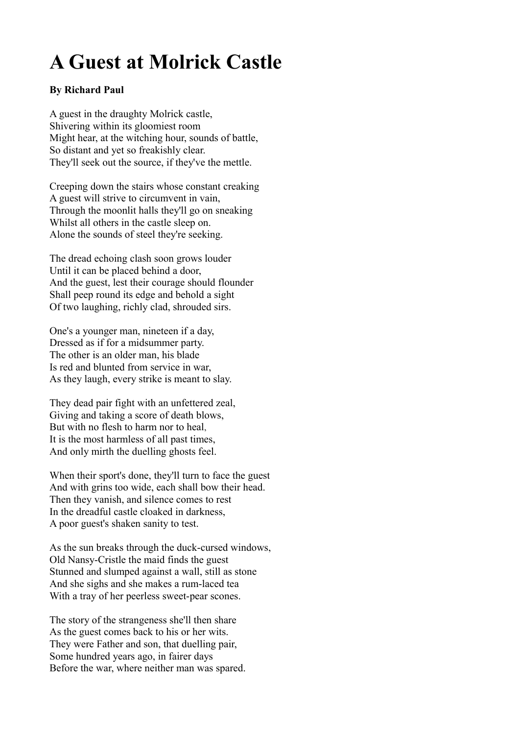## **A Guest at Molrick Castle**

## **By Richard Paul**

A guest in the draughty Molrick castle, Shivering within its gloomiest room Might hear, at the witching hour, sounds of battle, So distant and yet so freakishly clear. They'll seek out the source, if they've the mettle.

Creeping down the stairs whose constant creaking A guest will strive to circumvent in vain, Through the moonlit halls they'll go on sneaking Whilst all others in the castle sleep on. Alone the sounds of steel they're seeking.

The dread echoing clash soon grows louder Until it can be placed behind a door, And the guest, lest their courage should flounder Shall peep round its edge and behold a sight Of two laughing, richly clad, shrouded sirs.

One's a younger man, nineteen if a day, Dressed as if for a midsummer party. The other is an older man, his blade Is red and blunted from service in war, As they laugh, every strike is meant to slay.

They dead pair fight with an unfettered zeal, Giving and taking a score of death blows, But with no flesh to harm nor to heal, It is the most harmless of all past times, And only mirth the duelling ghosts feel.

When their sport's done, they'll turn to face the guest And with grins too wide, each shall bow their head. Then they vanish, and silence comes to rest In the dreadful castle cloaked in darkness, A poor guest's shaken sanity to test.

As the sun breaks through the duck-cursed windows, Old Nansy-Cristle the maid finds the guest Stunned and slumped against a wall, still as stone And she sighs and she makes a rum-laced tea With a tray of her peerless sweet-pear scones.

The story of the strangeness she'll then share As the guest comes back to his or her wits. They were Father and son, that duelling pair, Some hundred years ago, in fairer days Before the war, where neither man was spared.